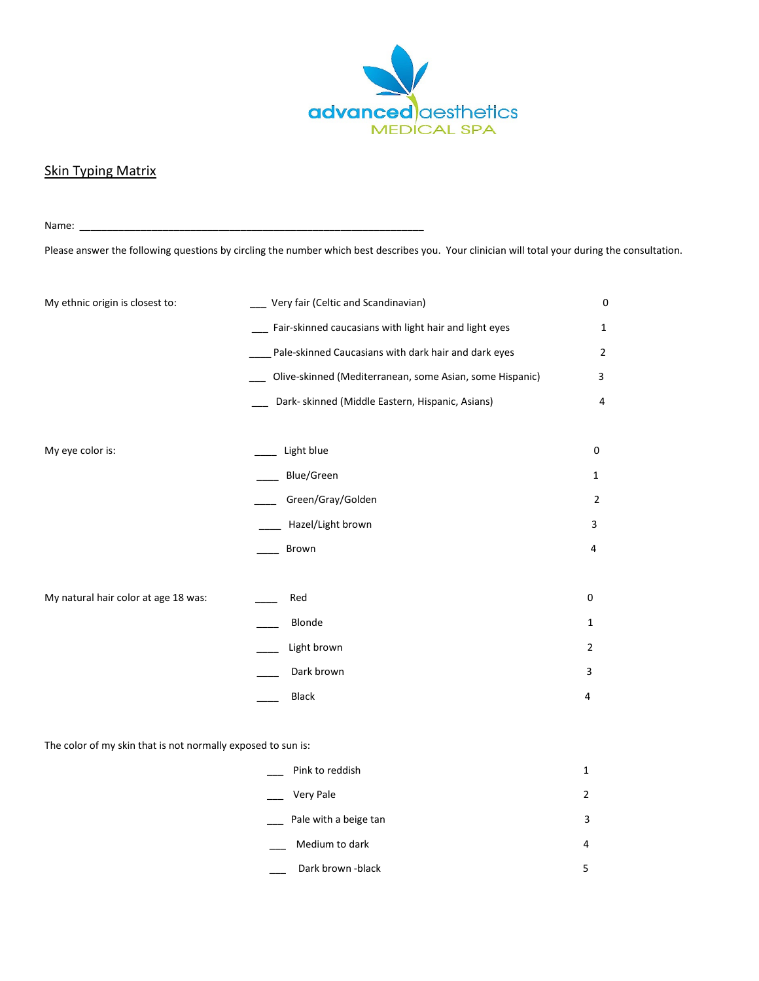

## **Skin Typing Matrix**

Name: \_\_\_\_\_\_\_\_\_\_\_\_\_\_\_\_\_\_\_\_\_\_\_\_\_\_\_\_\_\_\_\_\_\_\_\_\_\_\_\_\_\_\_\_\_\_\_\_\_\_\_\_\_\_\_\_\_\_\_\_\_\_ Please answer the following questions by circling the number which best describes you. Your clinician will total your during the consultation.

| My ethnic origin is closest to:      | Very fair (Celtic and Scandinavian)                      | $\mathbf 0$    |
|--------------------------------------|----------------------------------------------------------|----------------|
|                                      | Fair-skinned caucasians with light hair and light eyes   | $\mathbf{1}$   |
|                                      | Pale-skinned Caucasians with dark hair and dark eyes     | $\overline{2}$ |
|                                      | Olive-skinned (Mediterranean, some Asian, some Hispanic) | 3              |
|                                      | Dark- skinned (Middle Eastern, Hispanic, Asians)         | 4              |
|                                      |                                                          |                |
| My eye color is:                     | Light blue                                               | 0              |
|                                      | Blue/Green                                               | 1              |
|                                      | Green/Gray/Golden                                        | 2              |
|                                      | Hazel/Light brown                                        | 3              |
|                                      | Brown                                                    | 4              |
|                                      |                                                          |                |
| My natural hair color at age 18 was: | Red                                                      | $\mathbf 0$    |
|                                      | Blonde                                                   | $\mathbf{1}$   |
|                                      | Light brown                                              | $\overline{2}$ |
|                                      | Dark brown                                               | 3              |
|                                      | Black                                                    | 4              |
|                                      |                                                          |                |

The color of my skin that is not normally exposed to sun is:

| Pink to reddish       | 1              |
|-----------------------|----------------|
| Very Pale             | $\overline{2}$ |
| Pale with a beige tan | 3              |
| Medium to dark        | 4              |
| Dark brown -black     | 5              |